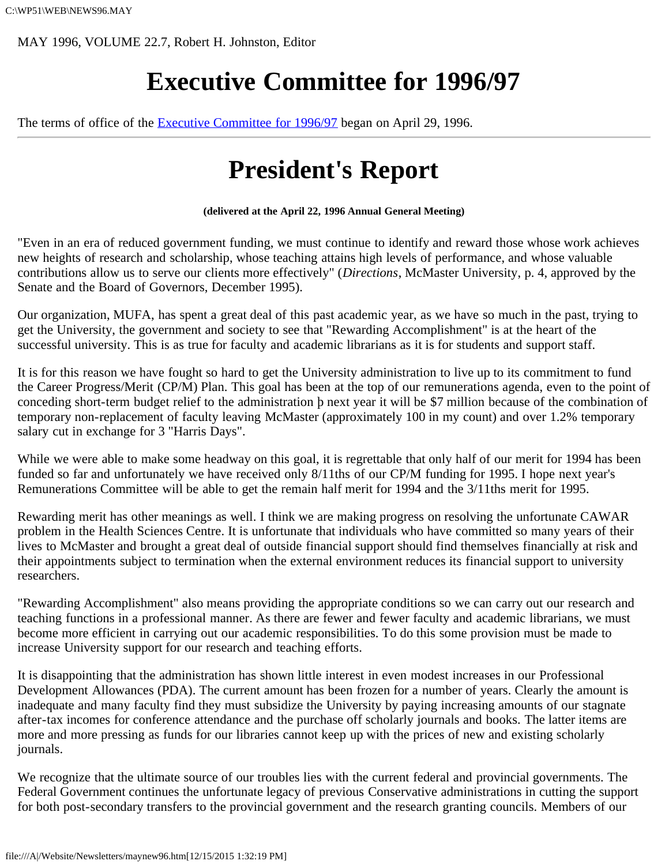MAY 1996, VOLUME 22.7, Robert H. Johnston, Editor

# **Executive Committee for 1996/97**

The terms of office of the [Executive Committee for 1996/97](file:///A|/Website/Newsletters/newexec.htm) began on April 29, 1996.

# **President's Report**

**(delivered at the April 22, 1996 Annual General Meeting)**

"Even in an era of reduced government funding, we must continue to identify and reward those whose work achieves new heights of research and scholarship, whose teaching attains high levels of performance, and whose valuable contributions allow us to serve our clients more effectively" (*Directions*, McMaster University, p. 4, approved by the Senate and the Board of Governors, December 1995).

Our organization, MUFA, has spent a great deal of this past academic year, as we have so much in the past, trying to get the University, the government and society to see that "Rewarding Accomplishment" is at the heart of the successful university. This is as true for faculty and academic librarians as it is for students and support staff.

It is for this reason we have fought so hard to get the University administration to live up to its commitment to fund the Career Progress/Merit (CP/M) Plan. This goal has been at the top of our remunerations agenda, even to the point of conceding short-term budget relief to the administration þ next year it will be \$7 million because of the combination of temporary non-replacement of faculty leaving McMaster (approximately 100 in my count) and over 1.2% temporary salary cut in exchange for 3 "Harris Days".

While we were able to make some headway on this goal, it is regrettable that only half of our merit for 1994 has been funded so far and unfortunately we have received only 8/11ths of our CP/M funding for 1995. I hope next year's Remunerations Committee will be able to get the remain half merit for 1994 and the 3/11ths merit for 1995.

Rewarding merit has other meanings as well. I think we are making progress on resolving the unfortunate CAWAR problem in the Health Sciences Centre. It is unfortunate that individuals who have committed so many years of their lives to McMaster and brought a great deal of outside financial support should find themselves financially at risk and their appointments subject to termination when the external environment reduces its financial support to university researchers.

"Rewarding Accomplishment" also means providing the appropriate conditions so we can carry out our research and teaching functions in a professional manner. As there are fewer and fewer faculty and academic librarians, we must become more efficient in carrying out our academic responsibilities. To do this some provision must be made to increase University support for our research and teaching efforts.

It is disappointing that the administration has shown little interest in even modest increases in our Professional Development Allowances (PDA). The current amount has been frozen for a number of years. Clearly the amount is inadequate and many faculty find they must subsidize the University by paying increasing amounts of our stagnate after-tax incomes for conference attendance and the purchase off scholarly journals and books. The latter items are more and more pressing as funds for our libraries cannot keep up with the prices of new and existing scholarly journals.

We recognize that the ultimate source of our troubles lies with the current federal and provincial governments. The Federal Government continues the unfortunate legacy of previous Conservative administrations in cutting the support for both post-secondary transfers to the provincial government and the research granting councils. Members of our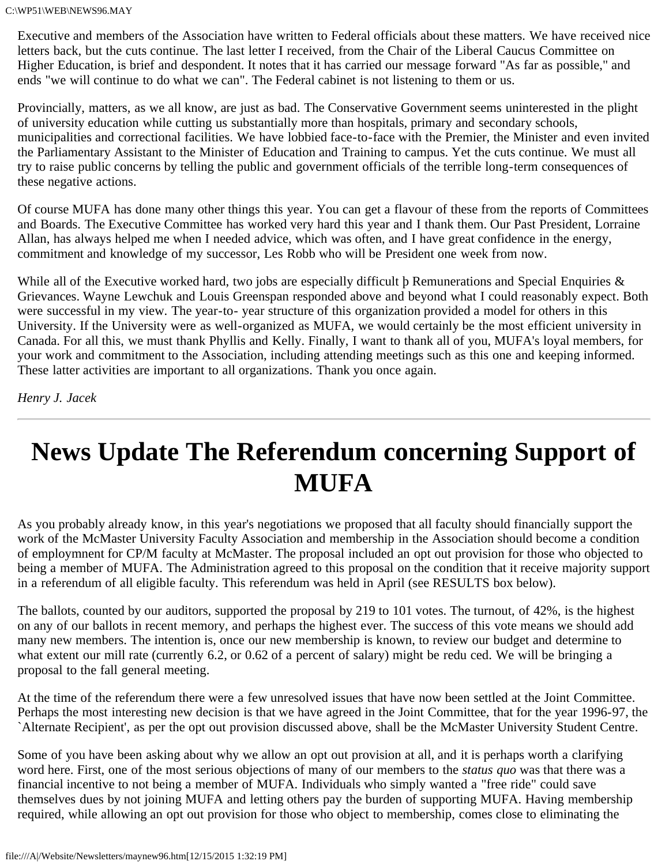Executive and members of the Association have written to Federal officials about these matters. We have received nice letters back, but the cuts continue. The last letter I received, from the Chair of the Liberal Caucus Committee on Higher Education, is brief and despondent. It notes that it has carried our message forward "As far as possible," and ends "we will continue to do what we can". The Federal cabinet is not listening to them or us.

Provincially, matters, as we all know, are just as bad. The Conservative Government seems uninterested in the plight of university education while cutting us substantially more than hospitals, primary and secondary schools, municipalities and correctional facilities. We have lobbied face-to-face with the Premier, the Minister and even invited the Parliamentary Assistant to the Minister of Education and Training to campus. Yet the cuts continue. We must all try to raise public concerns by telling the public and government officials of the terrible long-term consequences of these negative actions.

Of course MUFA has done many other things this year. You can get a flavour of these from the reports of Committees and Boards. The Executive Committee has worked very hard this year and I thank them. Our Past President, Lorraine Allan, has always helped me when I needed advice, which was often, and I have great confidence in the energy, commitment and knowledge of my successor, Les Robb who will be President one week from now.

While all of the Executive worked hard, two jobs are especially difficult  $\beta$  Remunerations and Special Enquiries  $\&$ Grievances. Wayne Lewchuk and Louis Greenspan responded above and beyond what I could reasonably expect. Both were successful in my view. The year-to- year structure of this organization provided a model for others in this University. If the University were as well-organized as MUFA, we would certainly be the most efficient university in Canada. For all this, we must thank Phyllis and Kelly. Finally, I want to thank all of you, MUFA's loyal members, for your work and commitment to the Association, including attending meetings such as this one and keeping informed. These latter activities are important to all organizations. Thank you once again.

*Henry J. Jacek*

# **News Update The Referendum concerning Support of MUFA**

As you probably already know, in this year's negotiations we proposed that all faculty should financially support the work of the McMaster University Faculty Association and membership in the Association should become a condition of employmnent for CP/M faculty at McMaster. The proposal included an opt out provision for those who objected to being a member of MUFA. The Administration agreed to this proposal on the condition that it receive majority support in a referendum of all eligible faculty. This referendum was held in April (see RESULTS box below).

The ballots, counted by our auditors, supported the proposal by 219 to 101 votes. The turnout, of 42%, is the highest on any of our ballots in recent memory, and perhaps the highest ever. The success of this vote means we should add many new members. The intention is, once our new membership is known, to review our budget and determine to what extent our mill rate (currently 6.2, or 0.62 of a percent of salary) might be redu ced. We will be bringing a proposal to the fall general meeting.

At the time of the referendum there were a few unresolved issues that have now been settled at the Joint Committee. Perhaps the most interesting new decision is that we have agreed in the Joint Committee, that for the year 1996-97, the `Alternate Recipient', as per the opt out provision discussed above, shall be the McMaster University Student Centre.

Some of you have been asking about why we allow an opt out provision at all, and it is perhaps worth a clarifying word here. First, one of the most serious objections of many of our members to the *status quo* was that there was a financial incentive to not being a member of MUFA. Individuals who simply wanted a "free ride" could save themselves dues by not joining MUFA and letting others pay the burden of supporting MUFA. Having membership required, while allowing an opt out provision for those who object to membership, comes close to eliminating the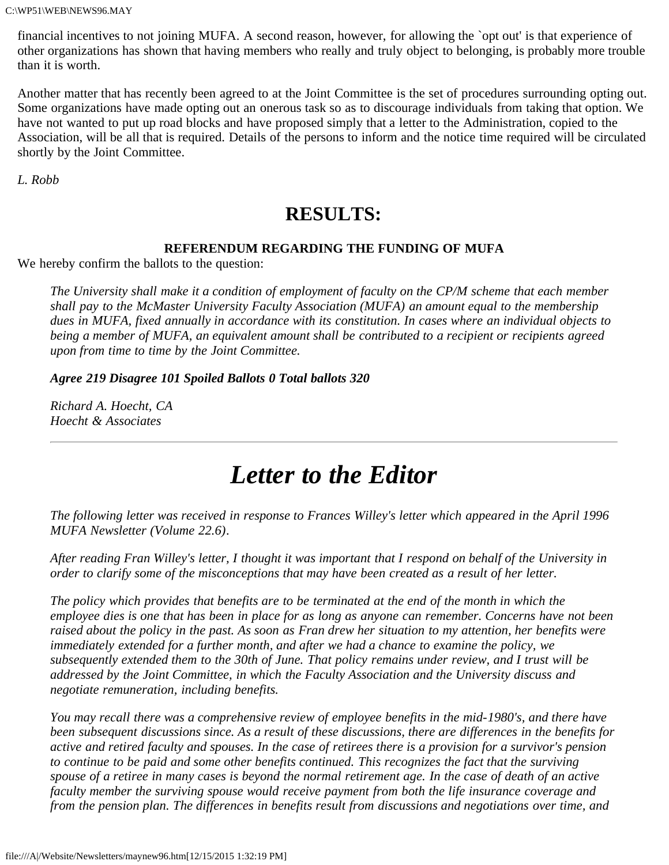financial incentives to not joining MUFA. A second reason, however, for allowing the `opt out' is that experience of other organizations has shown that having members who really and truly object to belonging, is probably more trouble than it is worth.

Another matter that has recently been agreed to at the Joint Committee is the set of procedures surrounding opting out. Some organizations have made opting out an onerous task so as to discourage individuals from taking that option. We have not wanted to put up road blocks and have proposed simply that a letter to the Administration, copied to the Association, will be all that is required. Details of the persons to inform and the notice time required will be circulated shortly by the Joint Committee.

*L. Robb*

### **RESULTS:**

### **REFERENDUM REGARDING THE FUNDING OF MUFA**

We hereby confirm the ballots to the question:

*The University shall make it a condition of employment of faculty on the CP/M scheme that each member shall pay to the McMaster University Faculty Association (MUFA) an amount equal to the membership dues in MUFA, fixed annually in accordance with its constitution. In cases where an individual objects to being a member of MUFA, an equivalent amount shall be contributed to a recipient or recipients agreed upon from time to time by the Joint Committee.*

*Agree 219 Disagree 101 Spoiled Ballots 0 Total ballots 320*

*Richard A. Hoecht, CA Hoecht & Associates*

## *Letter to the Editor*

*The following letter was received in response to Frances Willey's letter which appeared in the April 1996 MUFA Newsletter (Volume 22.6).*

*After reading Fran Willey's letter, I thought it was important that I respond on behalf of the University in order to clarify some of the misconceptions that may have been created as a result of her letter.*

*The policy which provides that benefits are to be terminated at the end of the month in which the employee dies is one that has been in place for as long as anyone can remember. Concerns have not been raised about the policy in the past. As soon as Fran drew her situation to my attention, her benefits were immediately extended for a further month, and after we had a chance to examine the policy, we subsequently extended them to the 30th of June. That policy remains under review, and I trust will be addressed by the Joint Committee, in which the Faculty Association and the University discuss and negotiate remuneration, including benefits.*

*You may recall there was a comprehensive review of employee benefits in the mid-1980's, and there have been subsequent discussions since. As a result of these discussions, there are differences in the benefits for active and retired faculty and spouses. In the case of retirees there is a provision for a survivor's pension to continue to be paid and some other benefits continued. This recognizes the fact that the surviving spouse of a retiree in many cases is beyond the normal retirement age. In the case of death of an active faculty member the surviving spouse would receive payment from both the life insurance coverage and from the pension plan. The differences in benefits result from discussions and negotiations over time, and*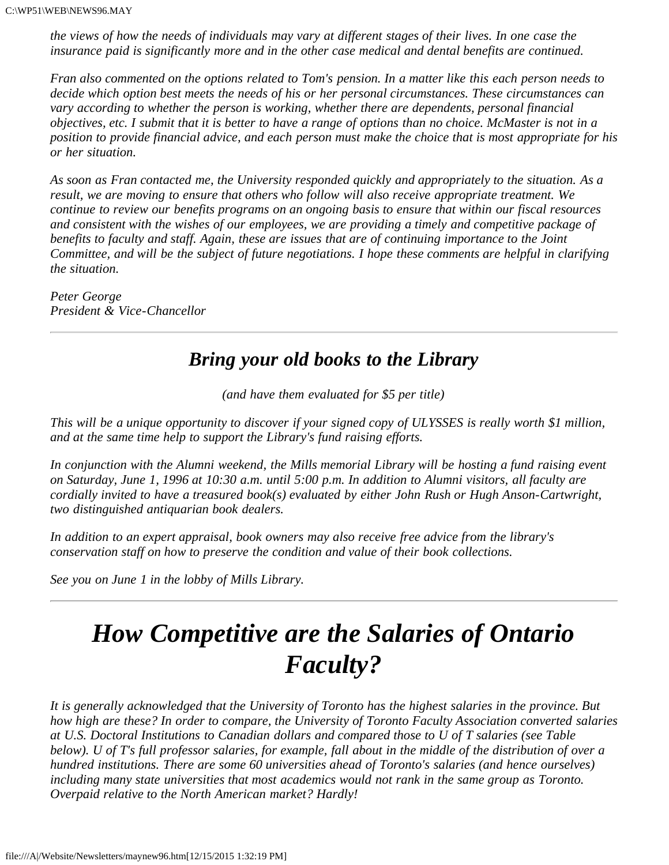*the views of how the needs of individuals may vary at different stages of their lives. In one case the insurance paid is significantly more and in the other case medical and dental benefits are continued.*

*Fran also commented on the options related to Tom's pension. In a matter like this each person needs to decide which option best meets the needs of his or her personal circumstances. These circumstances can vary according to whether the person is working, whether there are dependents, personal financial objectives, etc. I submit that it is better to have a range of options than no choice. McMaster is not in a position to provide financial advice, and each person must make the choice that is most appropriate for his or her situation.*

*As soon as Fran contacted me, the University responded quickly and appropriately to the situation. As a result, we are moving to ensure that others who follow will also receive appropriate treatment. We continue to review our benefits programs on an ongoing basis to ensure that within our fiscal resources and consistent with the wishes of our employees, we are providing a timely and competitive package of benefits to faculty and staff. Again, these are issues that are of continuing importance to the Joint Committee, and will be the subject of future negotiations. I hope these comments are helpful in clarifying the situation.*

*Peter George President & Vice-Chancellor*

### *Bring your old books to the Library*

*(and have them evaluated for \$5 per title)*

*This will be a unique opportunity to discover if your signed copy of ULYSSES is really worth \$1 million, and at the same time help to support the Library's fund raising efforts.*

*In conjunction with the Alumni weekend, the Mills memorial Library will be hosting a fund raising event on Saturday, June 1, 1996 at 10:30 a.m. until 5:00 p.m. In addition to Alumni visitors, all faculty are cordially invited to have a treasured book(s) evaluated by either John Rush or Hugh Anson-Cartwright, two distinguished antiquarian book dealers.*

*In addition to an expert appraisal, book owners may also receive free advice from the library's conservation staff on how to preserve the condition and value of their book collections.*

*See you on June 1 in the lobby of Mills Library.*

## *How Competitive are the Salaries of Ontario Faculty?*

*It is generally acknowledged that the University of Toronto has the highest salaries in the province. But how high are these? In order to compare, the University of Toronto Faculty Association converted salaries at U.S. Doctoral Institutions to Canadian dollars and compared those to U of T salaries (see Table below). U of T's full professor salaries, for example, fall about in the middle of the distribution of over a hundred institutions. There are some 60 universities ahead of Toronto's salaries (and hence ourselves) including many state universities that most academics would not rank in the same group as Toronto. Overpaid relative to the North American market? Hardly!*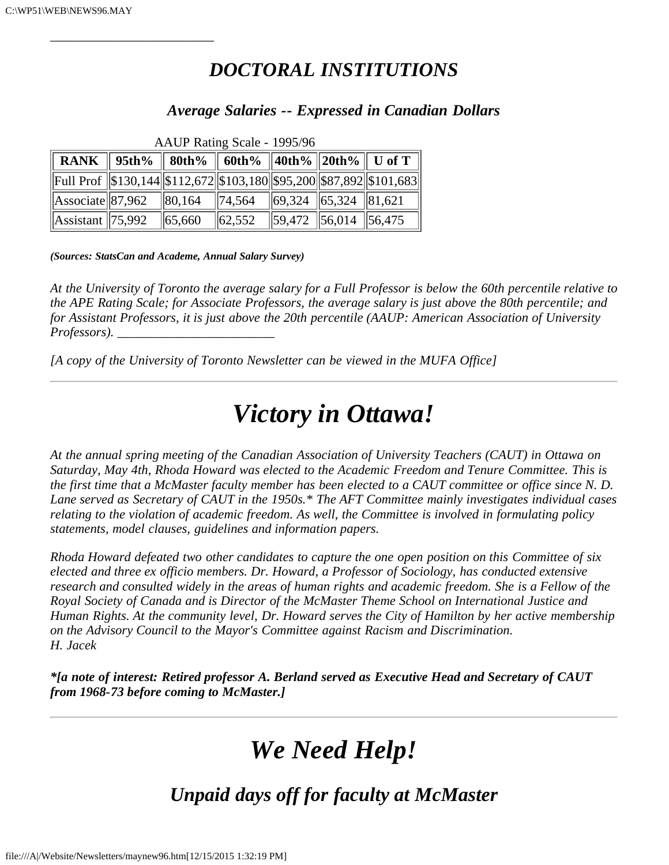*\_\_\_\_\_\_\_\_\_\_\_\_\_\_\_\_\_\_\_\_\_\_\_\_\_*

### *DOCTORAL INSTITUTIONS*

### *Average Salaries -- Expressed in Canadian Dollars*

| $1.11$ TO T Tracting Dealer $12220$                                        |  |             |              |  |                               |  |
|----------------------------------------------------------------------------|--|-------------|--------------|--|-------------------------------|--|
| RANK    95th%    80th%    60th%   40th%   20th%    U of T                  |  |             |              |  |                               |  |
| Full Prof   \$130,144  \$112,672  \$103,180  \$95,200  \$87,892  \$101,683 |  |             |              |  |                               |  |
| Associate 87,962 80,164 74,564 69,324 65,324 81,621                        |  |             |              |  |                               |  |
| Assistant $\ 75,992\ $                                                     |  | $\  65,660$ | $\ 62,552\ $ |  | $\sqrt{59,472}$ 56,014 56,475 |  |

AAUP Rating Scale - 1995/96

*(Sources: StatsCan and Academe, Annual Salary Survey)*

*At the University of Toronto the average salary for a Full Professor is below the 60th percentile relative to the APE Rating Scale; for Associate Professors, the average salary is just above the 80th percentile; and for Assistant Professors, it is just above the 20th percentile (AAUP: American Association of University Professors*).

*[A copy of the University of Toronto Newsletter can be viewed in the MUFA Office]*

## *Victory in Ottawa!*

*At the annual spring meeting of the Canadian Association of University Teachers (CAUT) in Ottawa on Saturday, May 4th, Rhoda Howard was elected to the Academic Freedom and Tenure Committee. This is the first time that a McMaster faculty member has been elected to a CAUT committee or office since N. D. Lane served as Secretary of CAUT in the 1950s.\* The AFT Committee mainly investigates individual cases relating to the violation of academic freedom. As well, the Committee is involved in formulating policy statements, model clauses, guidelines and information papers.*

*Rhoda Howard defeated two other candidates to capture the one open position on this Committee of six elected and three ex officio members. Dr. Howard, a Professor of Sociology, has conducted extensive research and consulted widely in the areas of human rights and academic freedom. She is a Fellow of the Royal Society of Canada and is Director of the McMaster Theme School on International Justice and Human Rights. At the community level, Dr. Howard serves the City of Hamilton by her active membership on the Advisory Council to the Mayor's Committee against Racism and Discrimination. H. Jacek*

*\*[a note of interest: Retired professor A. Berland served as Executive Head and Secretary of CAUT from 1968-73 before coming to McMaster.]*

# *We Need Help!*

*Unpaid days off for faculty at McMaster*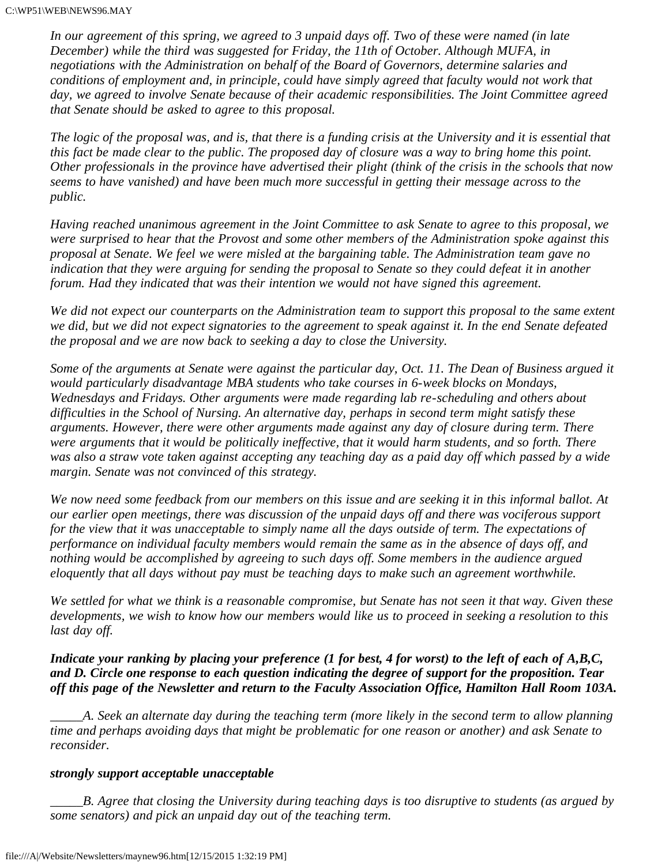*In our agreement of this spring, we agreed to 3 unpaid days off. Two of these were named (in late December) while the third was suggested for Friday, the 11th of October. Although MUFA, in negotiations with the Administration on behalf of the Board of Governors, determine salaries and conditions of employment and, in principle, could have simply agreed that faculty would not work that day, we agreed to involve Senate because of their academic responsibilities. The Joint Committee agreed that Senate should be asked to agree to this proposal.*

*The logic of the proposal was, and is, that there is a funding crisis at the University and it is essential that this fact be made clear to the public. The proposed day of closure was a way to bring home this point. Other professionals in the province have advertised their plight (think of the crisis in the schools that now seems to have vanished) and have been much more successful in getting their message across to the public.*

*Having reached unanimous agreement in the Joint Committee to ask Senate to agree to this proposal, we were surprised to hear that the Provost and some other members of the Administration spoke against this proposal at Senate. We feel we were misled at the bargaining table. The Administration team gave no indication that they were arguing for sending the proposal to Senate so they could defeat it in another forum. Had they indicated that was their intention we would not have signed this agreement.*

*We did not expect our counterparts on the Administration team to support this proposal to the same extent we did, but we did not expect signatories to the agreement to speak against it. In the end Senate defeated the proposal and we are now back to seeking a day to close the University.*

*Some of the arguments at Senate were against the particular day, Oct. 11. The Dean of Business argued it would particularly disadvantage MBA students who take courses in 6-week blocks on Mondays, Wednesdays and Fridays. Other arguments were made regarding lab re-scheduling and others about difficulties in the School of Nursing. An alternative day, perhaps in second term might satisfy these arguments. However, there were other arguments made against any day of closure during term. There were arguments that it would be politically ineffective, that it would harm students, and so forth. There was also a straw vote taken against accepting any teaching day as a paid day off which passed by a wide margin. Senate was not convinced of this strategy.*

*We now need some feedback from our members on this issue and are seeking it in this informal ballot. At our earlier open meetings, there was discussion of the unpaid days off and there was vociferous support for the view that it was unacceptable to simply name all the days outside of term. The expectations of performance on individual faculty members would remain the same as in the absence of days off, and nothing would be accomplished by agreeing to such days off. Some members in the audience argued eloquently that all days without pay must be teaching days to make such an agreement worthwhile.*

*We settled for what we think is a reasonable compromise, but Senate has not seen it that way. Given these developments, we wish to know how our members would like us to proceed in seeking a resolution to this last day off.*

*Indicate your ranking by placing your preference (1 for best, 4 for worst) to the left of each of A,B,C, and D. Circle one response to each question indicating the degree of support for the proposition. Tear off this page of the Newsletter and return to the Faculty Association Office, Hamilton Hall Room 103A.*

*\_\_\_\_\_A. Seek an alternate day during the teaching term (more likely in the second term to allow planning time and perhaps avoiding days that might be problematic for one reason or another) and ask Senate to reconsider.*

#### *strongly support acceptable unacceptable*

*\_\_\_\_\_B. Agree that closing the University during teaching days is too disruptive to students (as argued by some senators) and pick an unpaid day out of the teaching term.*